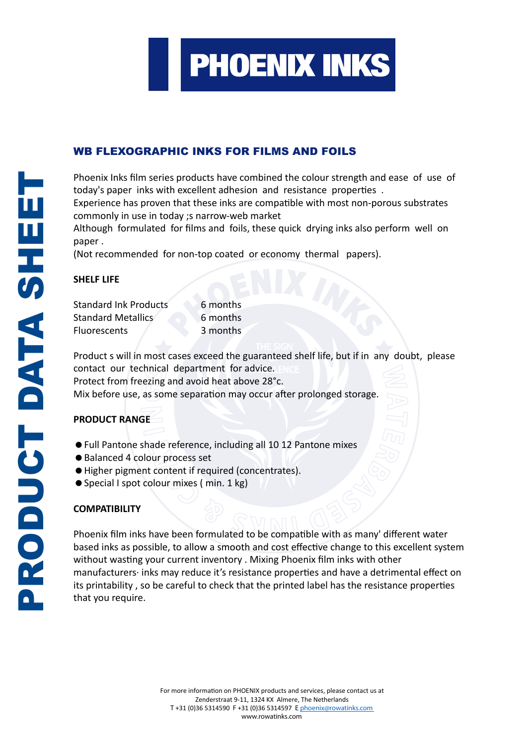

# WB FLEXOGRAPHIC INKS FOR FILMS AND FOILS

Phoenix Inks film series products have combined the colour strength and ease of use of today's paper inks with excellent adhesion and resistance properties .

Experience has proven that these inks are compatible with most non-porous substrates commonly in use in today ;s narrow-web market

Although formulated for films and foils, these quick drying inks also perform well on paper .

(Not recommended for non-top coated or economy thermal papers).

#### **SHELF LIFE**

| SHELF LIFE                   |          |
|------------------------------|----------|
| <b>Standard Ink Products</b> | 6 months |
| Standard Metallics           | 6 months |
| Fluorescents                 | 3 months |

Product s will in most cases exceed the guaranteed shelf life, but if in any doubt, please contact our technical department for advice.  $E_{\text{C}}$ Protect from freezing and avoid heat above 28°c. Mix before use, as some separation may occur after prolonged storage.

## **PRODUCT RANGE**

- Full Pantone shade reference, including all 10 12 Pantone mixes
- Balanced 4 colour process set
- $\bullet$  Higher pigment content if required (concentrates).
- Special I spot colour mixes ( min. 1 kg)

## **COMPATIBILITY**

Phoenix film inks have been formulated to be compatible with as many' different water based inks as possible, to allow a smooth and cost effective change to this excellent system without wasting your current inventory . Mixing Phoenix film inks with other manufacturers· inks may reduce it's resistance properties and have a detrimental effect on its printability , so be careful to check that the printed label has the resistance properties that you require.